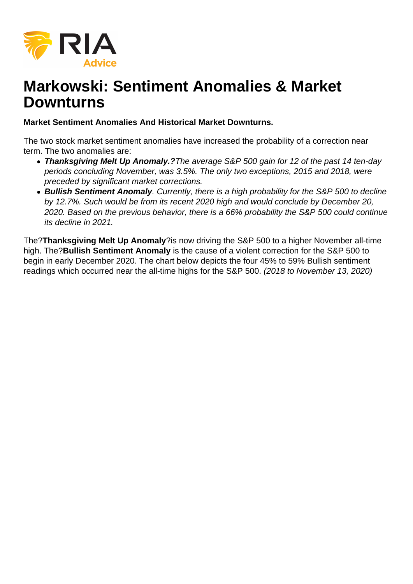

## **Markowski: Sentiment Anomalies & Market Downturns**

**Market Sentiment Anomalies And Historical Market Downturns.**

The two stock market sentiment anomalies have increased the probability of a correction near term. The two anomalies are:

- **Thanksgiving Melt Up Anomaly.?**The average S&P 500 gain for 12 of the past 14 ten-day periods concluding November, was 3.5%. The only two exceptions, 2015 and 2018, were preceded by significant market corrections.
- **Bullish Sentiment Anomaly**. Currently, there is a high probability for the S&P 500 to decline by 12.7%. Such would be from its recent 2020 high and would conclude by December 20, 2020. Based on the previous behavior, there is a 66% probability the S&P 500 could continue its decline in 2021.

The?**Thanksgiving Melt Up Anomaly**?is now driving the S&P 500 to a higher November all-time high. The?**Bullish Sentiment Anomaly** is the cause of a violent correction for the S&P 500 to begin in early December 2020. The chart below depicts the four 45% to 59% Bullish sentiment readings which occurred near the all-time highs for the S&P 500. (2018 to November 13, 2020)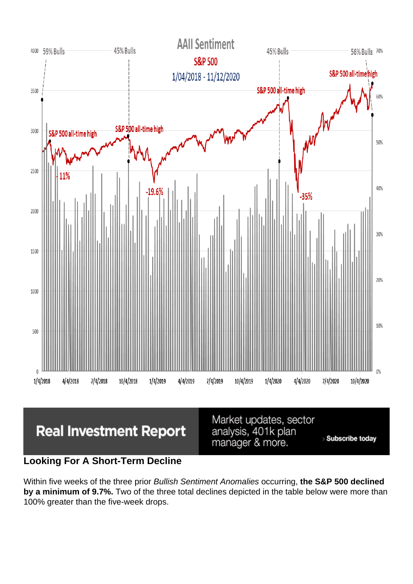Looking For A Short-Term Decline

Within five weeks of the three prior Bullish Sentiment Anomalies occurring, the S&P 500 declined by a minimum of 9.7%. Two of the three total declines depicted in the table below were more than 100% greater than the five-week drops.